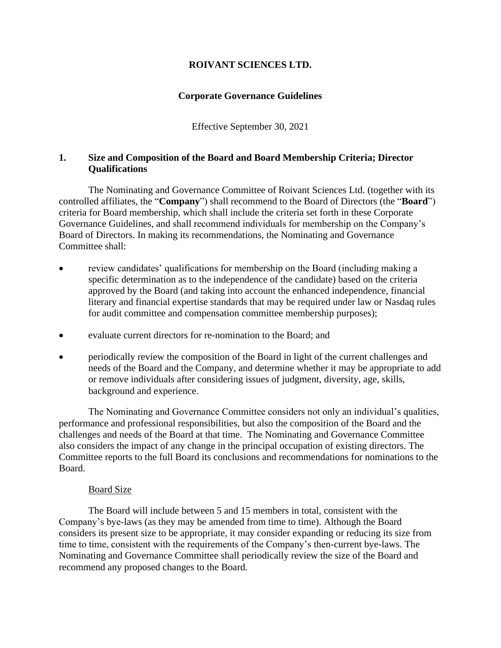# **ROIVANT SCIENCES LTD.**

## **Corporate Governance Guidelines**

Effective September 30, 2021

# **1. Size and Composition of the Board and Board Membership Criteria; Director Qualifications**

The Nominating and Governance Committee of Roivant Sciences Ltd. (together with its controlled affiliates, the "**Company**") shall recommend to the Board of Directors (the "**Board**") criteria for Board membership, which shall include the criteria set forth in these Corporate Governance Guidelines, and shall recommend individuals for membership on the Company's Board of Directors. In making its recommendations, the Nominating and Governance Committee shall:

- review candidates' qualifications for membership on the Board (including making a specific determination as to the independence of the candidate) based on the criteria approved by the Board (and taking into account the enhanced independence, financial literary and financial expertise standards that may be required under law or Nasdaq rules for audit committee and compensation committee membership purposes);
- evaluate current directors for re-nomination to the Board; and
- periodically review the composition of the Board in light of the current challenges and needs of the Board and the Company, and determine whether it may be appropriate to add or remove individuals after considering issues of judgment, diversity, age, skills, background and experience.

The Nominating and Governance Committee considers not only an individual's qualities, performance and professional responsibilities, but also the composition of the Board and the challenges and needs of the Board at that time. The Nominating and Governance Committee also considers the impact of any change in the principal occupation of existing directors. The Committee reports to the full Board its conclusions and recommendations for nominations to the Board.

## Board Size

The Board will include between 5 and 15 members in total, consistent with the Company's bye-laws (as they may be amended from time to time). Although the Board considers its present size to be appropriate, it may consider expanding or reducing its size from time to time, consistent with the requirements of the Company's then-current bye-laws. The Nominating and Governance Committee shall periodically review the size of the Board and recommend any proposed changes to the Board.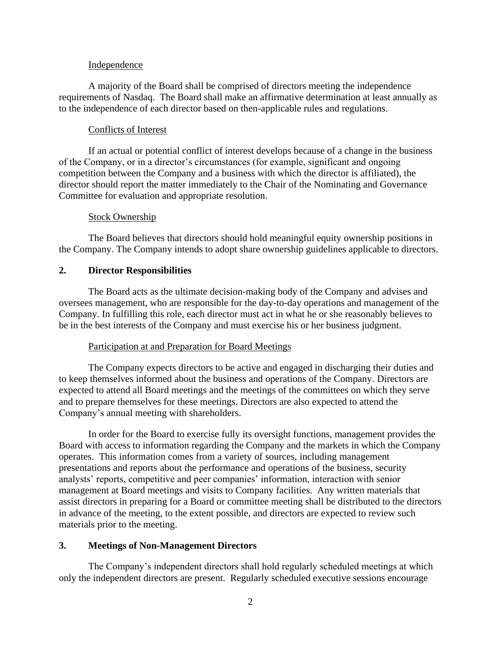### Independence

A majority of the Board shall be comprised of directors meeting the independence requirements of Nasdaq. The Board shall make an affirmative determination at least annually as to the independence of each director based on then-applicable rules and regulations.

#### Conflicts of Interest

If an actual or potential conflict of interest develops because of a change in the business of the Company, or in a director's circumstances (for example, significant and ongoing competition between the Company and a business with which the director is affiliated), the director should report the matter immediately to the Chair of the Nominating and Governance Committee for evaluation and appropriate resolution.

#### Stock Ownership

The Board believes that directors should hold meaningful equity ownership positions in the Company. The Company intends to adopt share ownership guidelines applicable to directors.

### **2. Director Responsibilities**

The Board acts as the ultimate decision-making body of the Company and advises and oversees management, who are responsible for the day-to-day operations and management of the Company. In fulfilling this role, each director must act in what he or she reasonably believes to be in the best interests of the Company and must exercise his or her business judgment.

## Participation at and Preparation for Board Meetings

The Company expects directors to be active and engaged in discharging their duties and to keep themselves informed about the business and operations of the Company. Directors are expected to attend all Board meetings and the meetings of the committees on which they serve and to prepare themselves for these meetings. Directors are also expected to attend the Company's annual meeting with shareholders.

In order for the Board to exercise fully its oversight functions, management provides the Board with access to information regarding the Company and the markets in which the Company operates. This information comes from a variety of sources, including management presentations and reports about the performance and operations of the business, security analysts' reports, competitive and peer companies' information, interaction with senior management at Board meetings and visits to Company facilities. Any written materials that assist directors in preparing for a Board or committee meeting shall be distributed to the directors in advance of the meeting, to the extent possible, and directors are expected to review such materials prior to the meeting.

#### **3. Meetings of Non-Management Directors**

The Company's independent directors shall hold regularly scheduled meetings at which only the independent directors are present. Regularly scheduled executive sessions encourage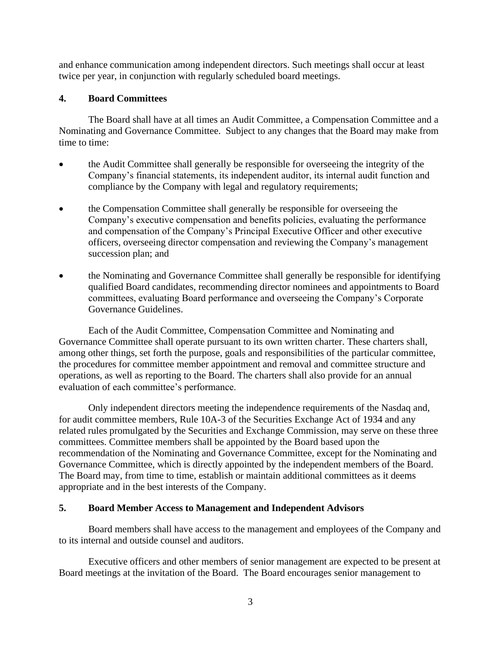and enhance communication among independent directors. Such meetings shall occur at least twice per year, in conjunction with regularly scheduled board meetings.

# **4. Board Committees**

The Board shall have at all times an Audit Committee, a Compensation Committee and a Nominating and Governance Committee. Subject to any changes that the Board may make from time to time:

- the Audit Committee shall generally be responsible for overseeing the integrity of the Company's financial statements, its independent auditor, its internal audit function and compliance by the Company with legal and regulatory requirements;
- the Compensation Committee shall generally be responsible for overseeing the Company's executive compensation and benefits policies, evaluating the performance and compensation of the Company's Principal Executive Officer and other executive officers, overseeing director compensation and reviewing the Company's management succession plan; and
- the Nominating and Governance Committee shall generally be responsible for identifying qualified Board candidates, recommending director nominees and appointments to Board committees, evaluating Board performance and overseeing the Company's Corporate Governance Guidelines.

Each of the Audit Committee, Compensation Committee and Nominating and Governance Committee shall operate pursuant to its own written charter. These charters shall, among other things, set forth the purpose, goals and responsibilities of the particular committee, the procedures for committee member appointment and removal and committee structure and operations, as well as reporting to the Board. The charters shall also provide for an annual evaluation of each committee's performance.

Only independent directors meeting the independence requirements of the Nasdaq and, for audit committee members, Rule 10A-3 of the Securities Exchange Act of 1934 and any related rules promulgated by the Securities and Exchange Commission, may serve on these three committees. Committee members shall be appointed by the Board based upon the recommendation of the Nominating and Governance Committee, except for the Nominating and Governance Committee, which is directly appointed by the independent members of the Board. The Board may, from time to time, establish or maintain additional committees as it deems appropriate and in the best interests of the Company.

## **5. Board Member Access to Management and Independent Advisors**

Board members shall have access to the management and employees of the Company and to its internal and outside counsel and auditors.

Executive officers and other members of senior management are expected to be present at Board meetings at the invitation of the Board. The Board encourages senior management to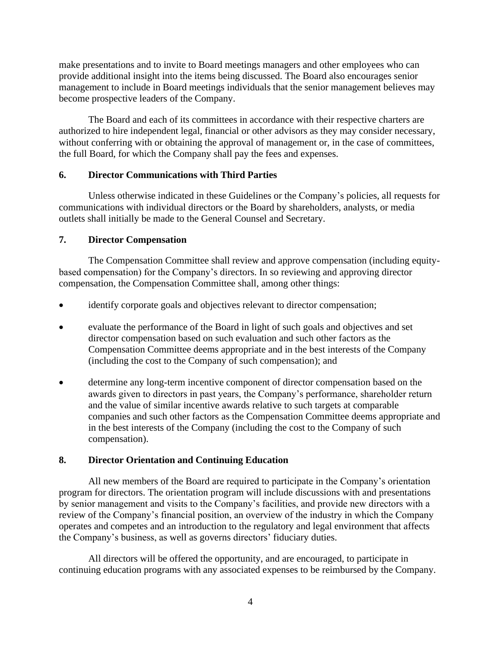make presentations and to invite to Board meetings managers and other employees who can provide additional insight into the items being discussed. The Board also encourages senior management to include in Board meetings individuals that the senior management believes may become prospective leaders of the Company.

The Board and each of its committees in accordance with their respective charters are authorized to hire independent legal, financial or other advisors as they may consider necessary, without conferring with or obtaining the approval of management or, in the case of committees, the full Board, for which the Company shall pay the fees and expenses.

## **6. Director Communications with Third Parties**

Unless otherwise indicated in these Guidelines or the Company's policies, all requests for communications with individual directors or the Board by shareholders, analysts, or media outlets shall initially be made to the General Counsel and Secretary.

# **7. Director Compensation**

The Compensation Committee shall review and approve compensation (including equitybased compensation) for the Company's directors. In so reviewing and approving director compensation, the Compensation Committee shall, among other things:

- identify corporate goals and objectives relevant to director compensation;
- evaluate the performance of the Board in light of such goals and objectives and set director compensation based on such evaluation and such other factors as the Compensation Committee deems appropriate and in the best interests of the Company (including the cost to the Company of such compensation); and
- determine any long-term incentive component of director compensation based on the awards given to directors in past years, the Company's performance, shareholder return and the value of similar incentive awards relative to such targets at comparable companies and such other factors as the Compensation Committee deems appropriate and in the best interests of the Company (including the cost to the Company of such compensation).

## **8. Director Orientation and Continuing Education**

All new members of the Board are required to participate in the Company's orientation program for directors. The orientation program will include discussions with and presentations by senior management and visits to the Company's facilities, and provide new directors with a review of the Company's financial position, an overview of the industry in which the Company operates and competes and an introduction to the regulatory and legal environment that affects the Company's business, as well as governs directors' fiduciary duties.

All directors will be offered the opportunity, and are encouraged, to participate in continuing education programs with any associated expenses to be reimbursed by the Company.